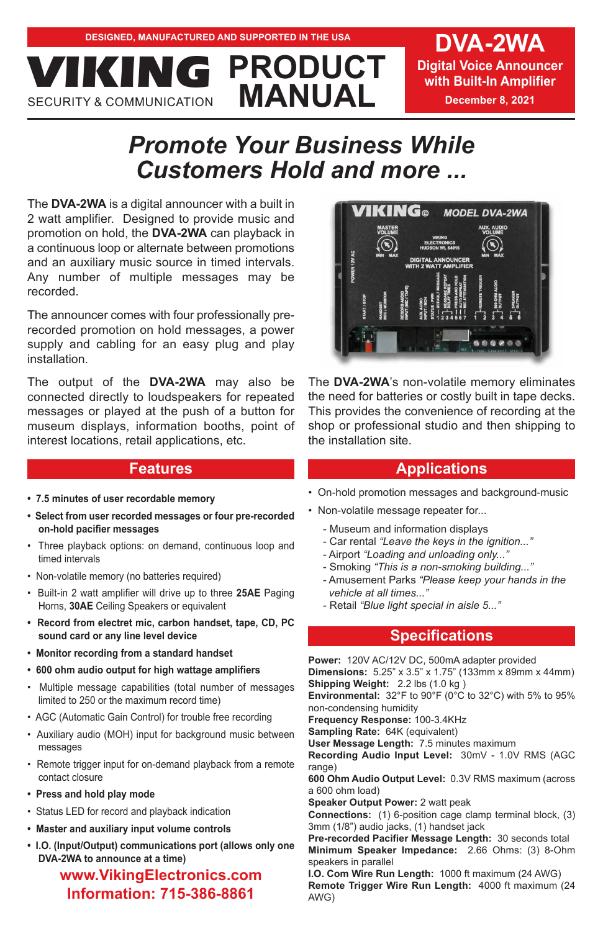**Digital Voice Announcer with Built-In Amplifier December 8, 2021**

# *Promote Your Business While Customers Hold and more ...*

**PRODUCT**

The **DVA-2WA** is a digital announcer with a built in 2 watt amplifier. Designed to provide music and promotion on hold, the **DVA-2WA** can playback in a continuous loop or alternate between promotions and an auxiliary music source in timed intervals. Any number of multiple messages may be recorded.

**MANUAL VICION** 

The announcer comes with four professionally prerecorded promotion on hold messages, a power supply and cabling for an easy plug and play installation.

The output of the **DVA-2WA** may also be connected directly to loudspeakers for repeated messages or played at the push of a button for museum displays, information booths, point of interest locations, retail applications, etc.

### **Features**

- **7.5 minutes of user recordable memory**
- **Select from user recorded messages or four pre-recorded on-hold pacifier messages**
- Three playback options: on demand, continuous loop and timed intervals
- Non-volatile memory (no batteries required)
- Built-in 2 watt amplifier will drive up to three **25AE** Paging Horns, **30AE** Ceiling Speakers or equivalent
- **Record from electret mic, carbon handset, tape, CD, PC sound card or any line level device**
- **Monitor recording from a standard handset**
- **600 ohm audio output for high wattage amplifiers**
- Multiple message capabilities (total number of messages limited to 250 or the maximum record time)
- AGC (Automatic Gain Control) for trouble free recording
- Auxiliary audio (MOH) input for background music between messages
- Remote trigger input for on-demand playback from a remote contact closure
- **Press and hold play mode**
- Status LED for record and playback indication
- **Master and auxiliary input volume controls**
- **I.O. (Input/Output) communications port (allows only one DVA-2WA to announce at a time)**

### **www.VikingElectronics.com Information: 715-386-8861**



The **DVA-2WA**'s non-volatile memory eliminates the need for batteries or costly built in tape decks. This provides the convenience of recording at the shop or professional studio and then shipping to the installation site.

#### **Applications**

- On-hold promotion messages and background-music
- Non-volatile message repeater for...
	- Museum and information displays
	- Car rental *"Leave the keys in the ignition..."*
	- Airport *"Loading and unloading only..."*
	- Smoking *"This is a non-smoking building..."*
	- Amusement Parks *"Please keep your hands in the vehicle at all times..."*
	- Retail *"Blue light special in aisle 5..."*

### **Specifications**

**Power:** 120V AC/12V DC, 500mA adapter provided **Dimensions:** 5.25" x 3.5" x 1.75" (133mm x 89mm x 44mm) **Shipping Weight:** 2.2 lbs (1.0 kg )

**Environmental:** 32°F to 90°F (0°C to 32°C) with 5% to 95% non-condensing humidity

**Frequency Response:** 100-3.4KHz

**Sampling Rate:** 64K (equivalent)

**User Message Length:** 7.5 minutes maximum **Recording Audio Input Level:** 30mV - 1.0V RMS (AGC

range) **600 Ohm Audio Output Level:** 0.3V RMS maximum (across a 600 ohm load)

**Speaker Output Power:** 2 watt peak

**Connections:** (1) 6-position cage clamp terminal block, (3) 3mm (1/8") audio jacks, (1) handset jack

**Pre-recorded Pacifier Message Length:** 30 seconds total **Minimum Speaker Impedance:** 2.66 Ohms: (3) 8-Ohm speakers in parallel

**I.O. Com Wire Run Length:** 1000 ft maximum (24 AWG) **Remote Trigger Wire Run Length:** 4000 ft maximum (24 AWG)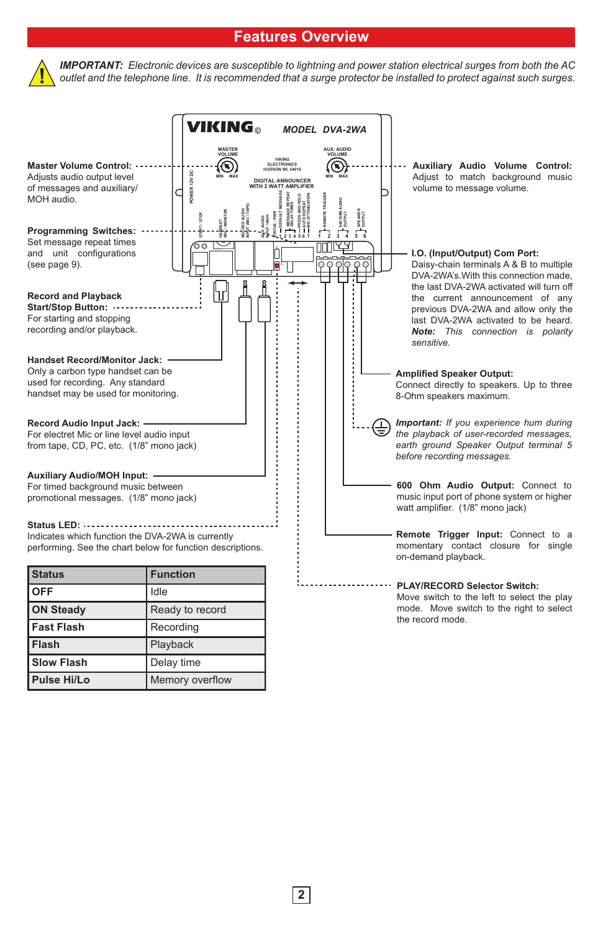# **Features Overview**



*IMPORTANT: Electronic devices are susceptible to lightning and power station electrical surges from both the AC outlet and the telephone line. It is recommended that a surge protector be installed to protect against such surges.* 

|                                                                                                                                                           | <b>VIKING</b>                                                 | <b>MODEL DVA-2WA</b>                                                                                        |                                                                                                                                                                                                              |
|-----------------------------------------------------------------------------------------------------------------------------------------------------------|---------------------------------------------------------------|-------------------------------------------------------------------------------------------------------------|--------------------------------------------------------------------------------------------------------------------------------------------------------------------------------------------------------------|
| <b>Master Volume Control:</b><br>Adjusts audio output level<br>of messages and auxiliary/<br>MOH audio.                                                   | MASTER<br>VOLUME<br>S<br>POWER 12V DC<br>MA <sub>2</sub><br>g | AUX. AUDIO<br>VOLUME<br><b>FLECTRONICS</b><br>⋐<br>MAX<br><b>DIGITAL ANNOUNCER</b><br>WITH 2 WATT AMPLIFIER | Auxiliary Audio Volume Control:<br>Adjust to match background music<br>volume to message volume.                                                                                                             |
| <b>Programming Switches:</b><br>Set message repeat times<br>and unit configurations<br>(see page 9).                                                      | ŽW<br>≂<br>ಠಿಂ                                                | $\overline{3}$ 4<br>$\circ \circ \circ$<br>Q                                                                | I.O. (Input/Output) Com Port:<br>Daisy-chain terminals A & B to multiple<br>DVA-2WA's. With this connection made,                                                                                            |
| <b>Record and Playback</b><br><b>Start/Stop Button:</b><br>For starting and stopping<br>recording and/or playback.<br><b>Handset Record/Monitor Jack:</b> | Т                                                             |                                                                                                             | the last DVA-2WA activated will turn off<br>the current announcement of any<br>previous DVA-2WA and allow only the<br>last DVA-2WA activated to be heard.<br>Note: This connection is polarity<br>sensitive. |
| Only a carbon type handset can be<br>used for recording. Any standard<br>handset may be used for monitoring.                                              |                                                               |                                                                                                             | <b>Amplified Speaker Output:</b><br>Connect directly to speakers. Up to three<br>8-Ohm speakers maximum.                                                                                                     |
| Record Audio Input Jack:<br>For electret Mic or line level audio input<br>from tape, CD, PC, etc. (1/8" mono jack)                                        |                                                               |                                                                                                             | <b>Important:</b> If you experience hum during<br>the playback of user-recorded messages,<br>earth ground Speaker Output terminal 5<br>before recording messages.                                            |
| <b>Auxiliary Audio/MOH Input: -</b><br>For timed background music between<br>promotional messages. (1/8" mono jack)                                       |                                                               |                                                                                                             | 600 Ohm Audio Output: Connect to<br>music input port of phone system or higher<br>watt amplifier. (1/8" mono jack)                                                                                           |
| Status LED:<br>Indicates which function the DVA-2WA is currently<br>performing. See the chart below for function descriptions.                            |                                                               |                                                                                                             | Remote Trigger Input: Connect to a<br>momentary contact closure for single<br>on-demand playback.                                                                                                            |
| <b>Status</b>                                                                                                                                             | <b>Function</b>                                               |                                                                                                             |                                                                                                                                                                                                              |
| <b>OFF</b>                                                                                                                                                | Idle                                                          |                                                                                                             | <b>PLAY/RECORD Selector Switch:</b><br>Move switch to the left to select the play                                                                                                                            |
| <b>ON Steady</b>                                                                                                                                          | Ready to record                                               |                                                                                                             | mode. Move switch to the right to select<br>the record mode.                                                                                                                                                 |
| <b>Fast Flash</b>                                                                                                                                         | Recording                                                     |                                                                                                             |                                                                                                                                                                                                              |
| Flash                                                                                                                                                     | Playback                                                      |                                                                                                             |                                                                                                                                                                                                              |
| <b>Slow Flash</b>                                                                                                                                         | Delay time                                                    |                                                                                                             |                                                                                                                                                                                                              |
| Pulse Hi/Lo                                                                                                                                               | Memory overflow                                               |                                                                                                             |                                                                                                                                                                                                              |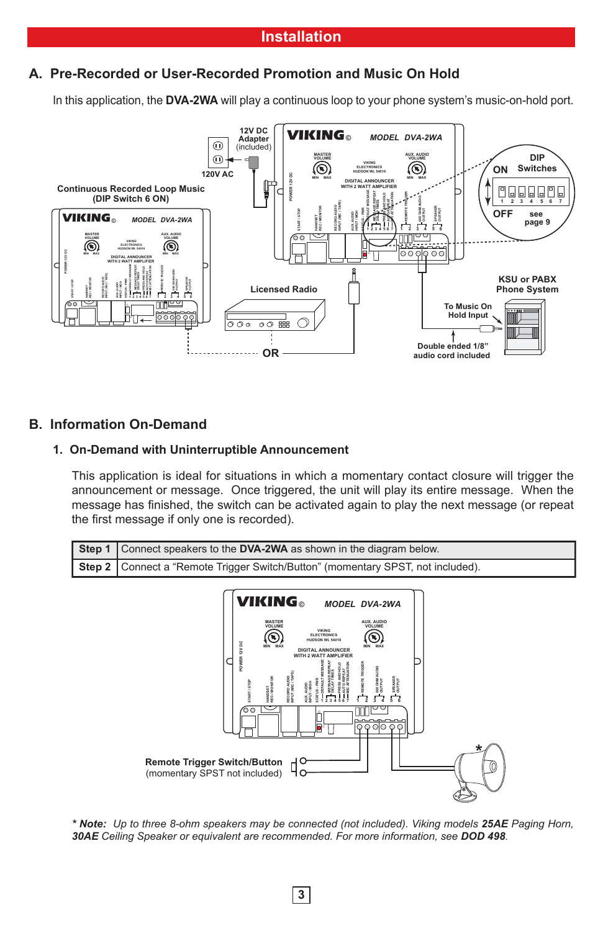## **A. Pre-Recorded or User-Recorded Promotion and Music On Hold**

In this application, the **DVA-2WA** will play a continuous loop to your phone system's music-on-hold port.



### **B. Information On-Demand**

#### **1. On-Demand with Uninterruptible Announcement**

This application is ideal for situations in which a momentary contact closure will trigger the announcement or message. Once triggered, the unit will play its entire message. When the message has finished, the switch can be activated again to play the next message (or repeat the first message if only one is recorded).





*\* Note: Up to three 8-ohm speakers may be connected (not included). Viking models 25AE Paging Horn, 30AE Ceiling Speaker or equivalent are recommended. For more information, see DOD 498.*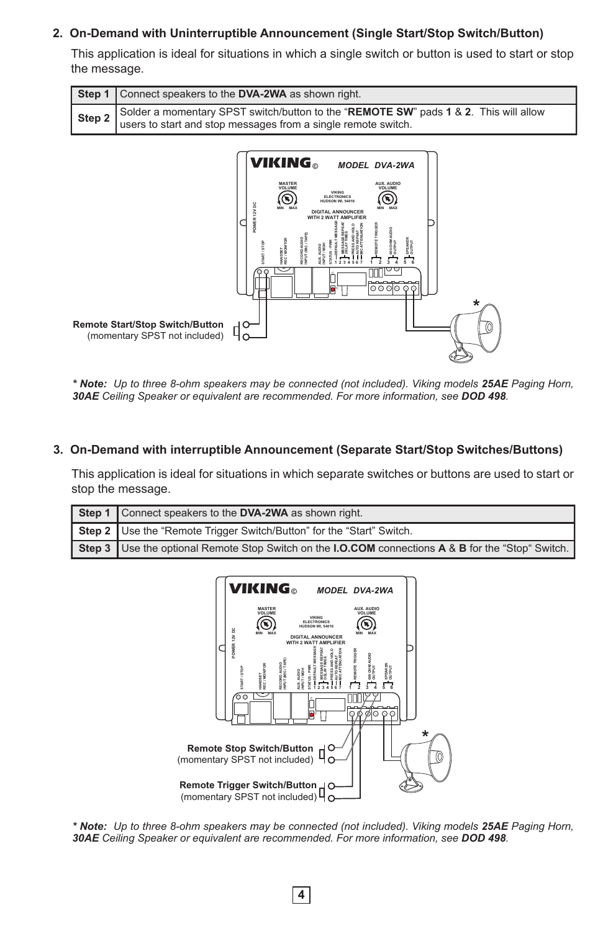#### **2. On-Demand with Uninterruptible Announcement (Single Start/Stop Switch/Button)**

This application is ideal for situations in which a single switch or button is used to start or stop the message.

| Step 1   Connect speakers to the DVA-2WA as shown right.                                                                                                     |  |  |
|--------------------------------------------------------------------------------------------------------------------------------------------------------------|--|--|
| Solder a momentary SPST switch/button to the "REMOTE SW" pads 1 & 2. This will allow<br>Step 2 users to start and stop messages from a single remote switch. |  |  |



*\* Note: Up to three 8-ohm speakers may be connected (not included). Viking models 25AE Paging Horn, 30AE Ceiling Speaker or equivalent are recommended. For more information, see DOD 498.*

#### **3. On-Demand with interruptible Announcement (Separate Start/Stop Switches/Buttons)**

This application is ideal for situations in which separate switches or buttons are used to start or stop the message.

| Step 1   Connect speakers to the DVA-2WA as shown right.                                                                       |
|--------------------------------------------------------------------------------------------------------------------------------|
| Step 2   Use the "Remote Trigger Switch/Button" for the "Start" Switch.                                                        |
| <b>Step 3</b> Use the optional Remote Stop Switch on the <b>I.O.COM</b> connections <b>A</b> & <b>B</b> for the "Stop" Switch. |



*\* Note: Up to three 8-ohm speakers may be connected (not included). Viking models 25AE Paging Horn, 30AE Ceiling Speaker or equivalent are recommended. For more information, see DOD 498.*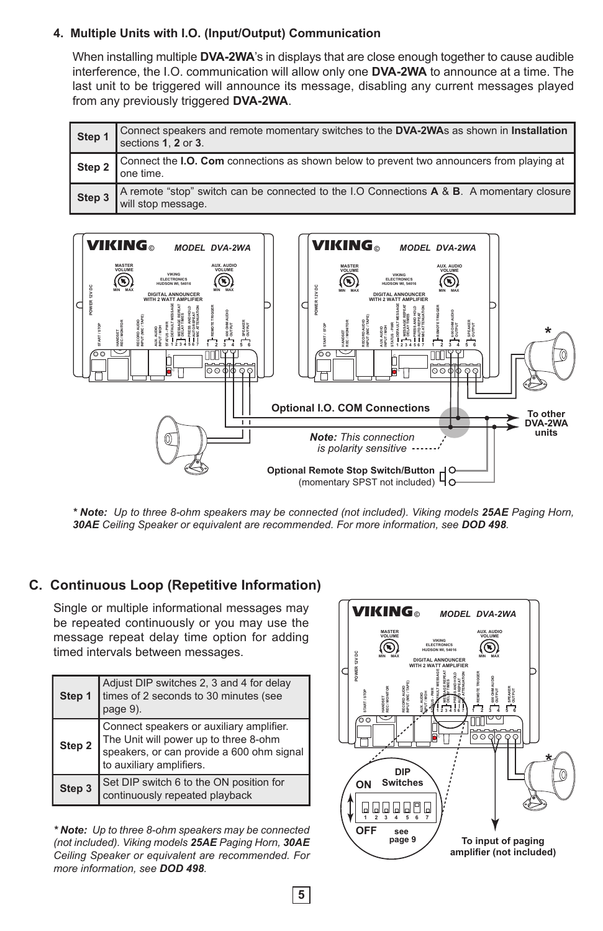#### **4. Multiple Units with I.O. (Input/Output) Communication**

When installing multiple **DVA-2WA**'s in displays that are close enough together to cause audible interference, the I.O. communication will allow only one **DVA-2WA** to announce at a time. The last unit to be triggered will announce its message, disabling any current messages played from any previously triggered **DVA-2WA**.

| Step 1 | Connect speakers and remote momentary switches to the DVA-2WAs as shown in Installation<br>sections 1, 2 or 3.  |
|--------|-----------------------------------------------------------------------------------------------------------------|
| Step 2 | Connect the I.O. Com connections as shown below to prevent two announcers from playing at<br>one time.          |
| Step 3 | A remote "stop" switch can be connected to the I.O Connections A & B. A momentary closure<br>will stop message. |



*\* Note: Up to three 8-ohm speakers may be connected (not included). Viking models 25AE Paging Horn, 30AE Ceiling Speaker or equivalent are recommended. For more information, see DOD 498.*

# **C. Continuous Loop (Repetitive Information)**

Single or multiple informational messages may be repeated continuously or you may use the message repeat delay time option for adding timed intervals between messages.

| Step 1 | Adjust DIP switches 2, 3 and 4 for delay<br>times of 2 seconds to 30 minutes (see<br>page 9).                                                              |  |
|--------|------------------------------------------------------------------------------------------------------------------------------------------------------------|--|
| Step 2 | Connect speakers or auxiliary amplifier.<br>The Unit will power up to three 8-ohm<br>speakers, or can provide a 600 ohm signal<br>to auxiliary amplifiers. |  |
| Step 3 | Set DIP switch 6 to the ON position for<br>continuously repeated playback                                                                                  |  |

*\* Note: Up to three 8-ohm speakers may be connected (not included). Viking models 25AE Paging Horn, 30AE Ceiling Speaker or equivalent are recommended. For more information, see DOD 498.*

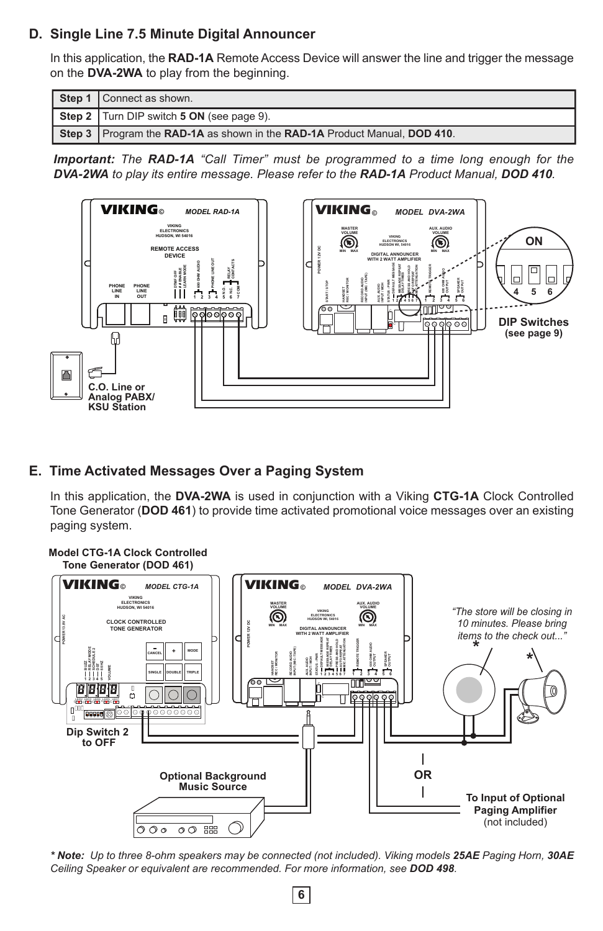### **D. Single Line 7.5 Minute Digital Announcer**

In this application, the **RAD-1A** Remote Access Device will answer the line and trigger the message on the **DVA-2WA** to play from the beginning.

| Step 1   Connect as shown.                                                  |  |
|-----------------------------------------------------------------------------|--|
| Step 2   Turn DIP switch 5 ON (see page 9).                                 |  |
| Step 3   Program the RAD-1A as shown in the RAD-1A Product Manual, DOD 410. |  |

*Important: The RAD-1A "Call Timer" must be programmed to a time long enough for the DVA-2WA to play its entire message. Please refer to the RAD-1A Product Manual, DOD 410.*



#### **E. Time Activated Messages Over a Paging System**

In this application, the **DVA-2WA** is used in conjunction with a Viking **CTG-1A** Clock Controlled Tone Generator (**DOD 461**) to provide time activated promotional voice messages over an existing paging system.



*\* Note: Up to three 8-ohm speakers may be connected (not included). Viking models 25AE Paging Horn, 30AE Ceiling Speaker or equivalent are recommended. For more information, see DOD 498.*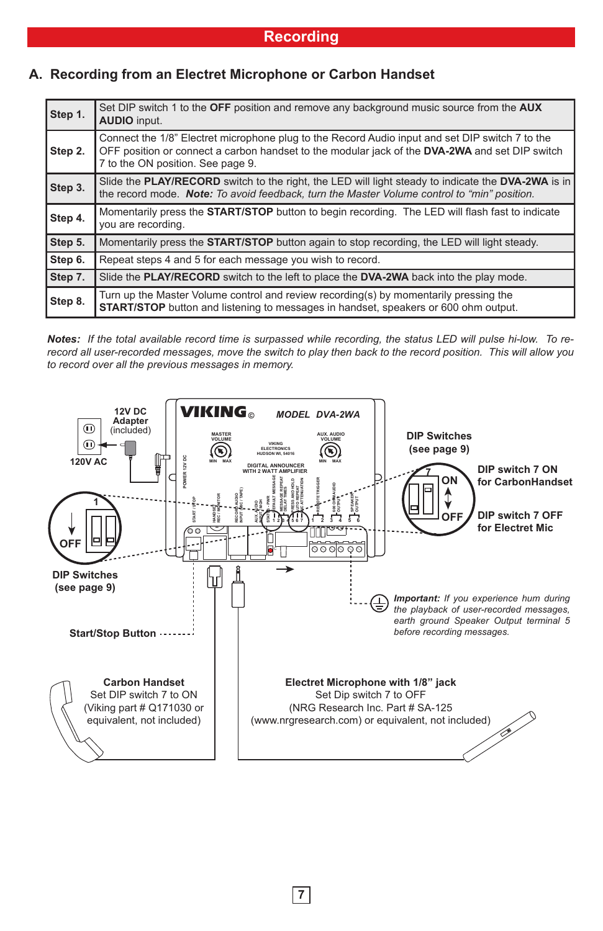| Step 1. | Set DIP switch 1 to the OFF position and remove any background music source from the AUX<br><b>AUDIO</b> input.                                                                                                                               |  |
|---------|-----------------------------------------------------------------------------------------------------------------------------------------------------------------------------------------------------------------------------------------------|--|
| Step 2. | Connect the 1/8" Electret microphone plug to the Record Audio input and set DIP switch 7 to the<br>OFF position or connect a carbon handset to the modular jack of the <b>DVA-2WA</b> and set DIP switch<br>7 to the ON position. See page 9. |  |
| Step 3. | Slide the PLAY/RECORD switch to the right, the LED will light steady to indicate the DVA-2WA is in<br>the record mode. Note: To avoid feedback, turn the Master Volume control to "min" position.                                             |  |
| Step 4. | Momentarily press the <b>START/STOP</b> button to begin recording. The LED will flash fast to indicate<br>you are recording.                                                                                                                  |  |
| Step 5. | Momentarily press the <b>START/STOP</b> button again to stop recording, the LED will light steady.                                                                                                                                            |  |
| Step 6. | Repeat steps 4 and 5 for each message you wish to record.                                                                                                                                                                                     |  |
| Step 7. | Slide the PLAY/RECORD switch to the left to place the DVA-2WA back into the play mode.                                                                                                                                                        |  |
| Step 8. | Turn up the Master Volume control and review recording(s) by momentarily pressing the<br><b>START/STOP</b> button and listening to messages in handset, speakers or 600 ohm output.                                                           |  |

# **A. Recording from an Electret Microphone or Carbon Handset**

*Notes: If the total available record time is surpassed while recording, the status LED will pulse hi-low. To rerecord all user-recorded messages, move the switch to play then back to the record position. This will allow you to record over all the previous messages in memory.*



**7**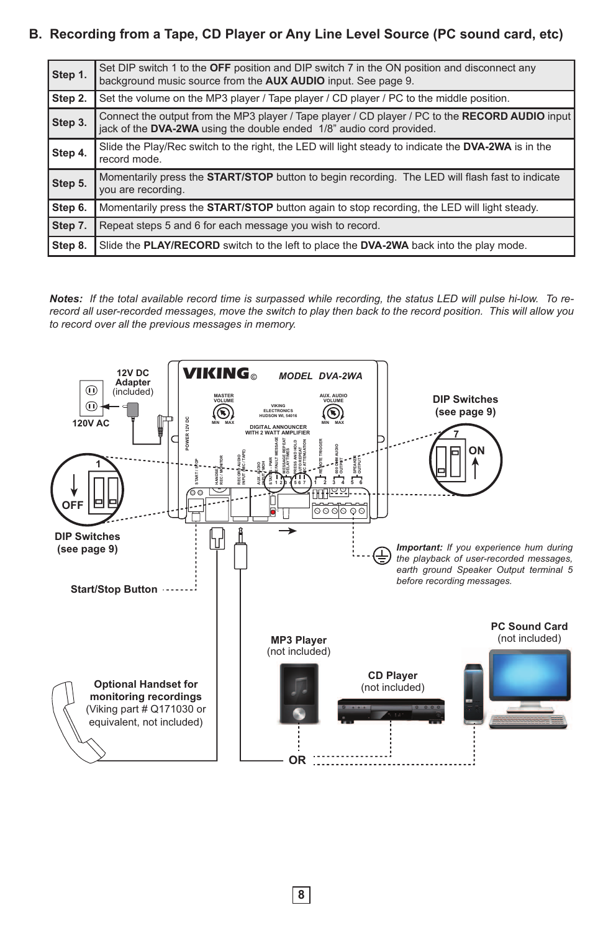# **B. Recording from a Tape, CD Player or Any Line Level Source (PC sound card, etc)**

| Step 1. | Set DIP switch 1 to the OFF position and DIP switch 7 in the ON position and disconnect any<br>background music source from the AUX AUDIO input. See page 9.            |
|---------|-------------------------------------------------------------------------------------------------------------------------------------------------------------------------|
| Step 2. | Set the volume on the MP3 player / Tape player / CD player / PC to the middle position.                                                                                 |
| Step 3. | Connect the output from the MP3 player / Tape player / CD player / PC to the RECORD AUDIO input<br>jack of the DVA-2WA using the double ended 1/8" audio cord provided. |
| Step 4. | Slide the Play/Rec switch to the right, the LED will light steady to indicate the DVA-2WA is in the<br>record mode.                                                     |
| Step 5. | Momentarily press the <b>START/STOP</b> button to begin recording. The LED will flash fast to indicate<br>you are recording.                                            |
| Step 6. | Momentarily press the <b>START/STOP</b> button again to stop recording, the LED will light steady.                                                                      |
| Step 7. | Repeat steps 5 and 6 for each message you wish to record.                                                                                                               |
| Step 8. | Slide the PLAY/RECORD switch to the left to place the DVA-2WA back into the play mode.                                                                                  |

*Notes: If the total available record time is surpassed while recording, the status LED will pulse hi-low. To rerecord all user-recorded messages, move the switch to play then back to the record position. This will allow you to record over all the previous messages in memory.*

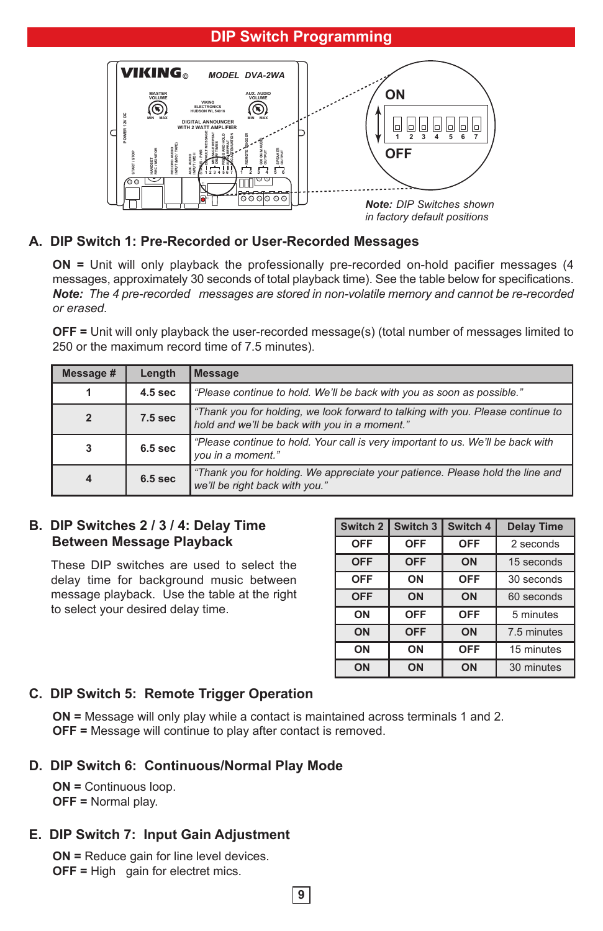# **DIP Switch Programming**



### **A. DIP Switch 1: Pre-Recorded or User-Recorded Messages**

**ON =** Unit will only playback the professionally pre-recorded on-hold pacifier messages (4 messages, approximately 30 seconds of total playback time). See the table below for specifications. *Note: The 4 pre-recorded messages are stored in non-volatile memory and cannot be re-recorded or erased.*

**OFF =** Unit will only playback the user-recorded message(s) (total number of messages limited to 250 or the maximum record time of 7.5 minutes).

| Message #               | Length                                                                                                                                      | <b>Message</b>                                                         |  |
|-------------------------|---------------------------------------------------------------------------------------------------------------------------------------------|------------------------------------------------------------------------|--|
|                         | 4.5 <sub>sec</sub>                                                                                                                          | "Please continue to hold. We'll be back with you as soon as possible." |  |
| $\overline{2}$          | "Thank you for holding, we look forward to talking with you. Please continue to<br>7.5 sec<br>hold and we'll be back with you in a moment." |                                                                        |  |
| 3                       | "Please continue to hold. Your call is very important to us. We'll be back with<br>6.5 <sub>sec</sub><br>you in a moment."                  |                                                                        |  |
| $\overline{\mathbf{4}}$ | "Thank you for holding. We appreciate your patience. Please hold the line and<br>6.5 <sub>sec</sub><br>we'll be right back with you."       |                                                                        |  |

#### **B. DIP Switches 2 / 3 / 4: Delay Time Between Message Playback**

These DIP switches are used to select the delay time for background music between message playback. Use the table at the right to select your desired delay time.

| Switch 2   | Switch 3   | Switch 4   | <b>Delay Time</b> |
|------------|------------|------------|-------------------|
| <b>OFF</b> | <b>OFF</b> | <b>OFF</b> | 2 seconds         |
| <b>OFF</b> | <b>OFF</b> | ON         | 15 seconds        |
| <b>OFF</b> | ON         | <b>OFF</b> | 30 seconds        |
| <b>OFF</b> | ON         | ON         | 60 seconds        |
| ON         | <b>OFF</b> | <b>OFF</b> | 5 minutes         |
| ON         | <b>OFF</b> | ON         | 7.5 minutes       |
| ON         | ON         | <b>OFF</b> | 15 minutes        |
| ON         | ON         | ON         | 30 minutes        |

### **C. DIP Switch 5: Remote Trigger Operation**

**ON =** Message will only play while a contact is maintained across terminals 1 and 2. **OFF =** Message will continue to play after contact is removed.

#### **D. DIP Switch 6: Continuous/Normal Play Mode**

**ON =** Continuous loop. **OFF =** Normal play.

#### **E. DIP Switch 7: Input Gain Adjustment**

**ON =** Reduce gain for line level devices. **OFF =** High gain for electret mics.

**9**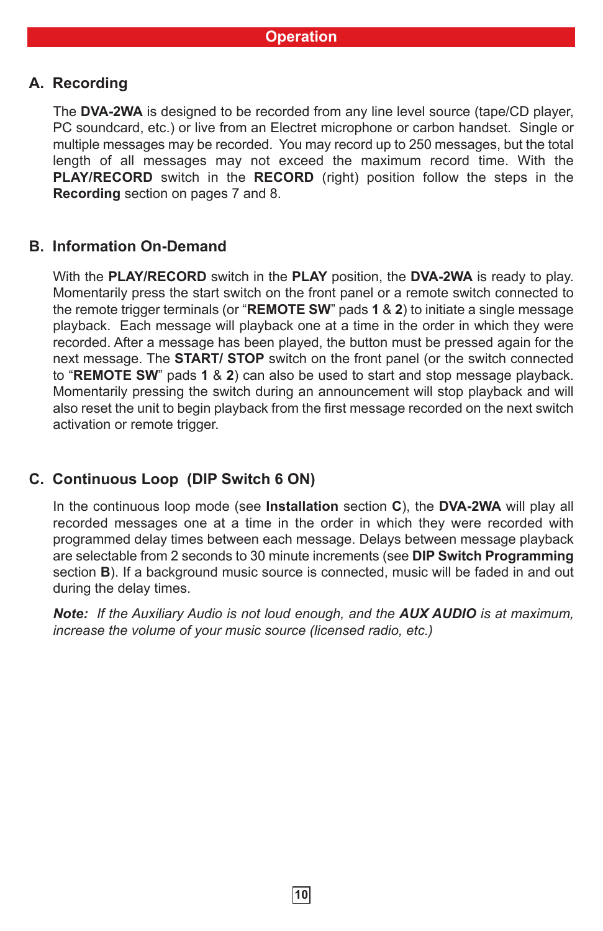# **A. Recording**

The **DVA-2WA** is designed to be recorded from any line level source (tape/CD player, PC soundcard, etc.) or live from an Electret microphone or carbon handset. Single or multiple messages may be recorded. You may record up to 250 messages, but the total length of all messages may not exceed the maximum record time. With the **PLAY/RECORD** switch in the **RECORD** (right) position follow the steps in the **Recording** section on pages 7 and 8.

# **B. Information On-Demand**

With the **PLAY/RECORD** switch in the **PLAY** position, the **DVA-2WA** is ready to play. Momentarily press the start switch on the front panel or a remote switch connected to the remote trigger terminals (or "**REMOTE SW**" pads **1** & **2**) to initiate a single message playback. Each message will playback one at a time in the order in which they were recorded. After a message has been played, the button must be pressed again for the next message. The **START/ STOP** switch on the front panel (or the switch connected to "**REMOTE SW**" pads **1** & **2**) can also be used to start and stop message playback. Momentarily pressing the switch during an announcement will stop playback and will also reset the unit to begin playback from the first message recorded on the next switch activation or remote trigger.

# **C. Continuous Loop (DIP Switch 6 ON)**

In the continuous loop mode (see **Installation** section **C**), the **DVA-2WA** will play all recorded messages one at a time in the order in which they were recorded with programmed delay times between each message. Delays between message playback are selectable from 2 seconds to 30 minute increments (see **DIP Switch Programming** section **B**). If a background music source is connected, music will be faded in and out during the delay times.

*Note: If the Auxiliary Audio is not loud enough, and the AUX AUDIO is at maximum, increase the volume of your music source (licensed radio, etc.)*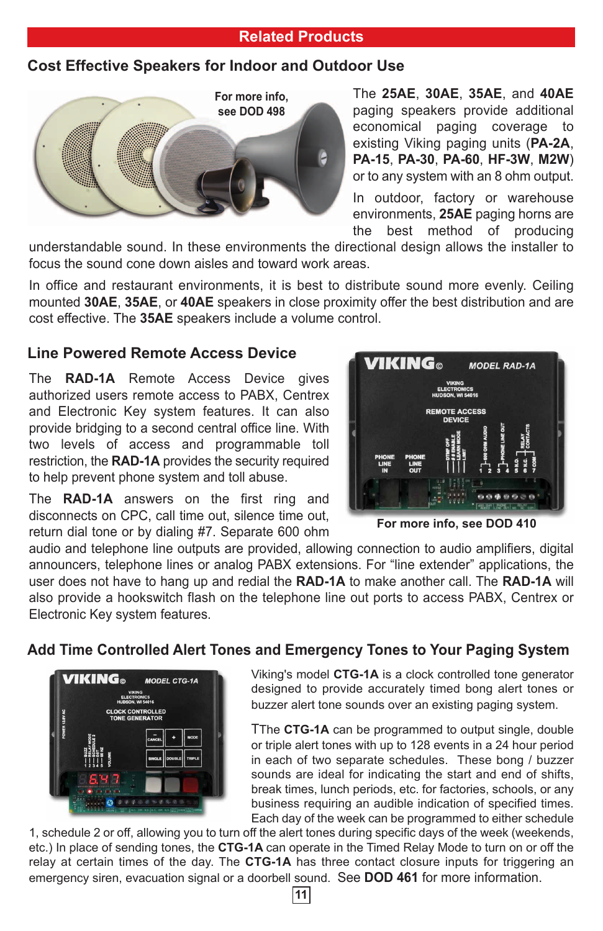### **Related Products**

# **Cost Effective Speakers for Indoor and Outdoor Use**



The **25AE**, **30AE**, **35AE**, and **40AE** paging speakers provide additional economical paging coverage to existing Viking paging units (**PA-2A**, **PA-15**, **PA-30**, **PA-60**, **HF-3W**, **M2W**) or to any system with an 8 ohm output.

In outdoor, factory or warehouse environments, **25AE** paging horns are the best method of producing

understandable sound. In these environments the directional design allows the installer to focus the sound cone down aisles and toward work areas.

In office and restaurant environments, it is best to distribute sound more evenly. Ceiling mounted **30AE**, **35AE**, or **40AE** speakers in close proximity offer the best distribution and are cost effective. The **35AE** speakers include a volume control.

### **Line Powered Remote Access Device**

The **RAD-1A** Remote Access Device gives authorized users remote access to PABX, Centrex and Electronic Key system features. It can also provide bridging to a second central office line. With two levels of access and programmable toll restriction, the **RAD-1A** provides the security required to help prevent phone system and toll abuse.

The **RAD-1A** answers on the first ring and disconnects on CPC, call time out, silence time out, return dial tone or by dialing #7. Separate 600 ohm



**For more info, see DOD 410**

audio and telephone line outputs are provided, allowing connection to audio amplifiers, digital announcers, telephone lines or analog PABX extensions. For "line extender" applications, the user does not have to hang up and redial the **RAD-1A** to make another call. The **RAD-1A** will also provide a hookswitch flash on the telephone line out ports to access PABX, Centrex or Electronic Key system features.

# **Add Time Controlled Alert Tones and Emergency Tones to Your Paging System**



Viking's model **CTG-1A** is a clock controlled tone generator designed to provide accurately timed bong alert tones or buzzer alert tone sounds over an existing paging system.

TThe **CTG-1A** can be programmed to output single, double or triple alert tones with up to 128 events in a 24 hour period in each of two separate schedules. These bong / buzzer sounds are ideal for indicating the start and end of shifts, break times, lunch periods, etc. for factories, schools, or any business requiring an audible indication of specified times. Each day of the week can be programmed to either schedule

1, schedule 2 or off, allowing you to turn off the alert tones during specific days of the week (weekends, etc.) In place of sending tones, the **CTG-1A** can operate in the Timed Relay Mode to turn on or off the relay at certain times of the day. The **CTG-1A** has three contact closure inputs for triggering an emergency siren, evacuation signal or a doorbell sound. See **DOD 461** for more information.

**11**